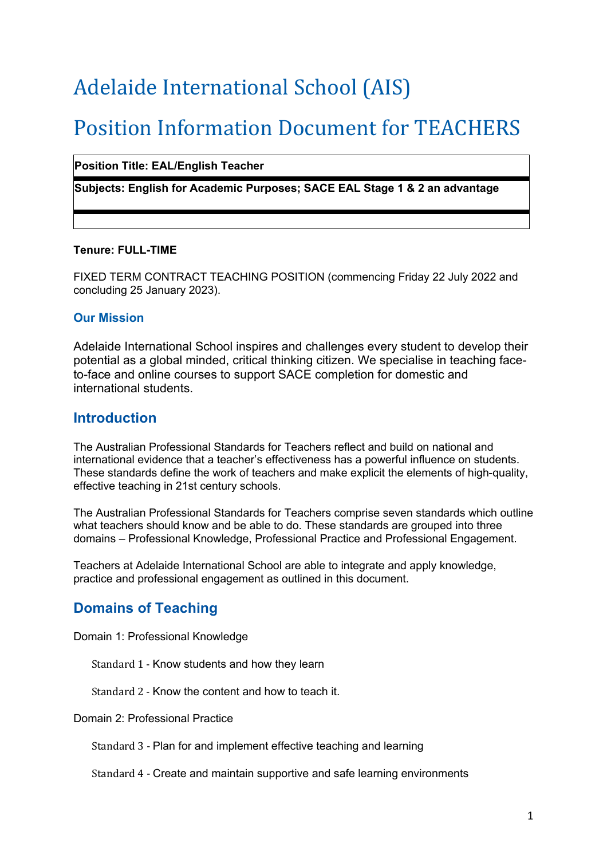# Adelaide International School (AIS)

# **Position Information Document for TEACHERS**

#### **Position Title: EAL/English Teacher**

**Subjects: English for Academic Purposes; SACE EAL Stage 1 & 2 an advantage**

#### **Tenure: FULL-TIME**

FIXED TERM CONTRACT TEACHING POSITION (commencing Friday 22 July 2022 and concluding 25 January 2023).

#### **Our Mission**

Adelaide International School inspires and challenges every student to develop their potential as a global minded, critical thinking citizen. We specialise in teaching faceto-face and online courses to support SACE completion for domestic and international students.

#### **Introduction**

The Australian Professional Standards for Teachers reflect and build on national and international evidence that a teacher's effectiveness has a powerful influence on students. These standards define the work of teachers and make explicit the elements of high-quality, effective teaching in 21st century schools.

The Australian Professional Standards for Teachers comprise seven standards which outline what teachers should know and be able to do. These standards are grouped into three domains – Professional Knowledge, Professional Practice and Professional Engagement.

Teachers at Adelaide International School are able to integrate and apply knowledge, practice and professional engagement as outlined in this document.

## **Domains of Teaching**

Domain 1: Professional Knowledge

Standard 1 - Know students and how they learn

Standard 2 - Know the content and how to teach it.

Domain 2: Professional Practice

Standard 3 - Plan for and implement effective teaching and learning

Standard 4 - Create and maintain supportive and safe learning environments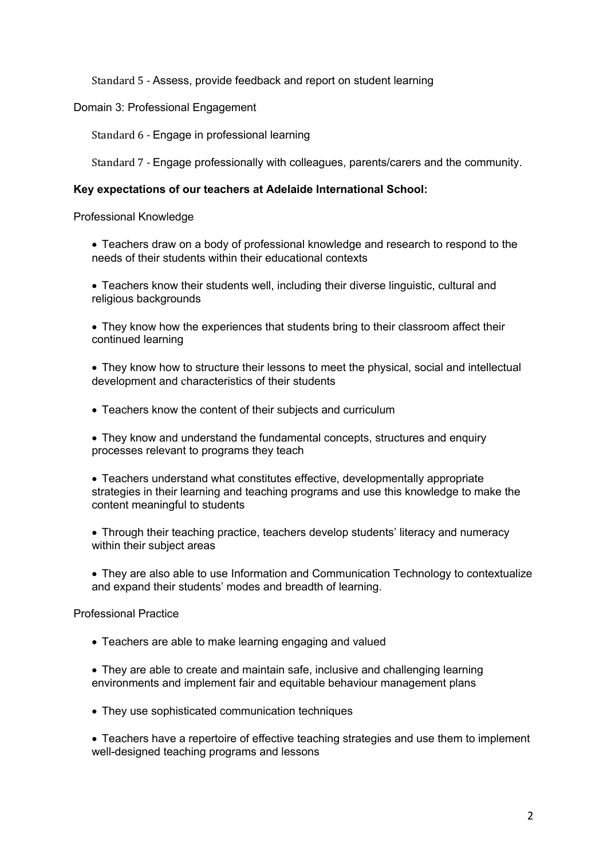Standard 5 - Assess, provide feedback and report on student learning

Domain 3: Professional Engagement

Standard 6 - Engage in professional learning

Standard 7 - Engage professionally with colleagues, parents/carers and the community.

#### **Key expectations of our teachers at Adelaide International School:**

Professional Knowledge

• Teachers draw on a body of professional knowledge and research to respond to the needs of their students within their educational contexts

• Teachers know their students well, including their diverse linguistic, cultural and religious backgrounds

• They know how the experiences that students bring to their classroom affect their continued learning

• They know how to structure their lessons to meet the physical, social and intellectual development and characteristics of their students

• Teachers know the content of their subjects and curriculum

• They know and understand the fundamental concepts, structures and enquiry processes relevant to programs they teach

- Teachers understand what constitutes effective, developmentally appropriate strategies in their learning and teaching programs and use this knowledge to make the content meaningful to students
- Through their teaching practice, teachers develop students' literacy and numeracy within their subject areas
- They are also able to use Information and Communication Technology to contextualize and expand their students' modes and breadth of learning.

Professional Practice

• Teachers are able to make learning engaging and valued

• They are able to create and maintain safe, inclusive and challenging learning environments and implement fair and equitable behaviour management plans

• They use sophisticated communication techniques

• Teachers have a repertoire of effective teaching strategies and use them to implement well-designed teaching programs and lessons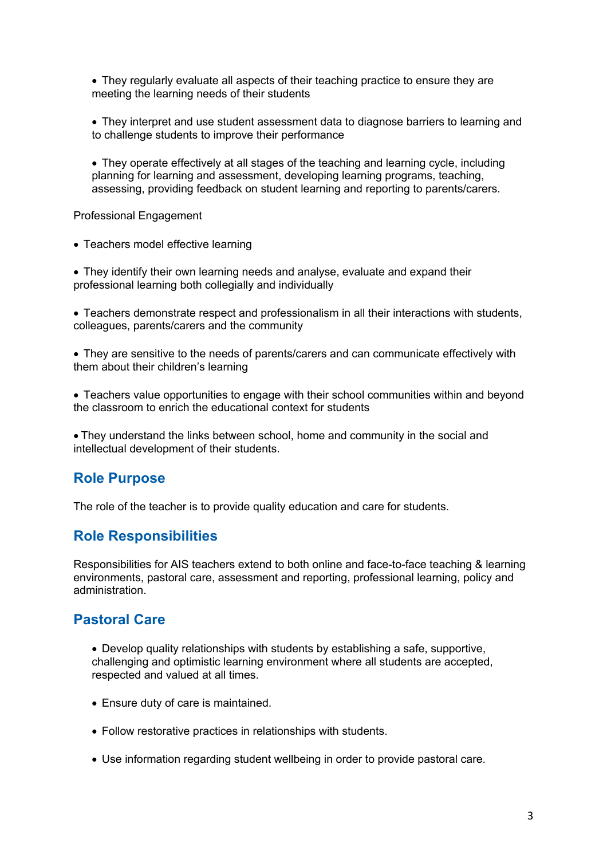• They regularly evaluate all aspects of their teaching practice to ensure they are meeting the learning needs of their students

• They interpret and use student assessment data to diagnose barriers to learning and to challenge students to improve their performance

• They operate effectively at all stages of the teaching and learning cycle, including planning for learning and assessment, developing learning programs, teaching, assessing, providing feedback on student learning and reporting to parents/carers.

Professional Engagement

• Teachers model effective learning

• They identify their own learning needs and analyse, evaluate and expand their professional learning both collegially and individually

• Teachers demonstrate respect and professionalism in all their interactions with students, colleagues, parents/carers and the community

• They are sensitive to the needs of parents/carers and can communicate effectively with them about their children's learning

• Teachers value opportunities to engage with their school communities within and beyond the classroom to enrich the educational context for students

• They understand the links between school, home and community in the social and intellectual development of their students.

### **Role Purpose**

The role of the teacher is to provide quality education and care for students.

### **Role Responsibilities**

Responsibilities for AIS teachers extend to both online and face-to-face teaching & learning environments, pastoral care, assessment and reporting, professional learning, policy and administration.

### **Pastoral Care**

• Develop quality relationships with students by establishing a safe, supportive, challenging and optimistic learning environment where all students are accepted, respected and valued at all times.

- Ensure duty of care is maintained.
- Follow restorative practices in relationships with students.
- Use information regarding student wellbeing in order to provide pastoral care.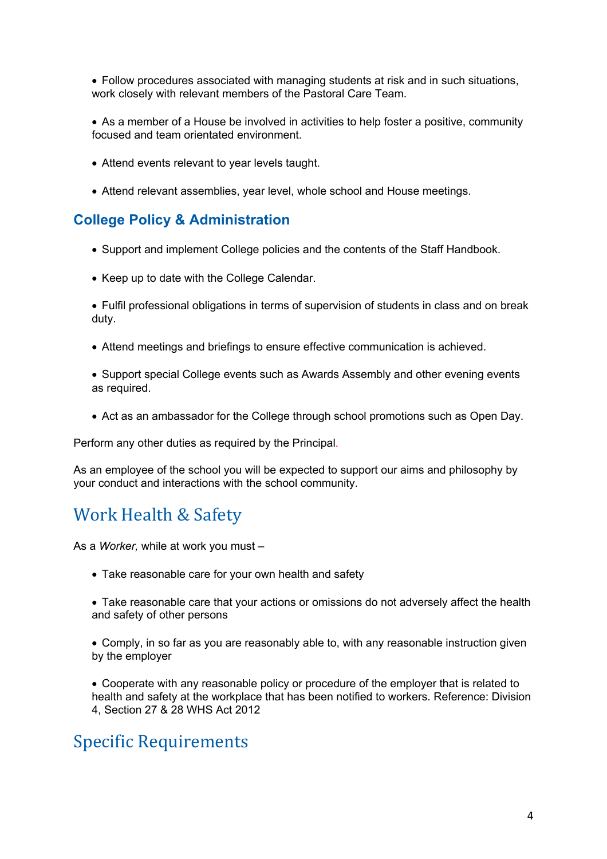• Follow procedures associated with managing students at risk and in such situations, work closely with relevant members of the Pastoral Care Team.

• As a member of a House be involved in activities to help foster a positive, community focused and team orientated environment.

- Attend events relevant to year levels taught.
- Attend relevant assemblies, year level, whole school and House meetings.

## **College Policy & Administration**

- Support and implement College policies and the contents of the Staff Handbook.
- Keep up to date with the College Calendar.
- Fulfil professional obligations in terms of supervision of students in class and on break duty.
- Attend meetings and briefings to ensure effective communication is achieved.
- Support special College events such as Awards Assembly and other evening events as required.
- Act as an ambassador for the College through school promotions such as Open Day.

Perform any other duties as required by the Principal.

As an employee of the school you will be expected to support our aims and philosophy by your conduct and interactions with the school community.

# Work Health & Safety

As a *Worker,* while at work you must –

- Take reasonable care for your own health and safety
- Take reasonable care that your actions or omissions do not adversely affect the health and safety of other persons
- Comply, in so far as you are reasonably able to, with any reasonable instruction given by the employer

• Cooperate with any reasonable policy or procedure of the employer that is related to health and safety at the workplace that has been notified to workers. Reference: Division 4, Section 27 & 28 WHS Act 2012

# **Specific Requirements**